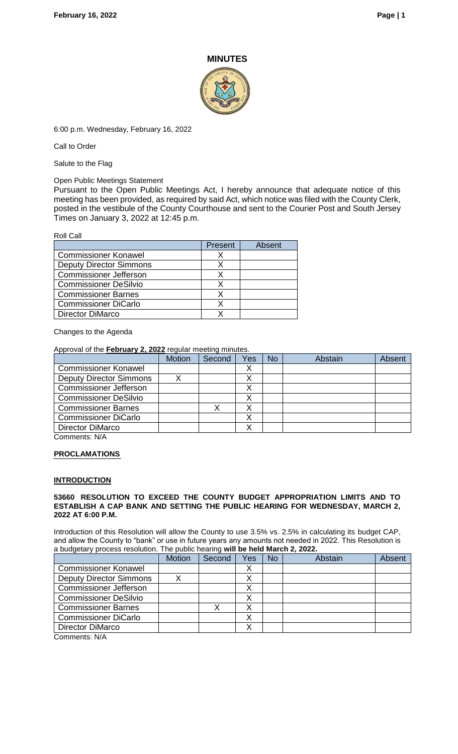## **MINUTES**



6:00 p.m. Wednesday, February 16, 2022

Call to Order

Salute to the Flag

Open Public Meetings Statement

Pursuant to the Open Public Meetings Act, I hereby announce that adequate notice of this meeting has been provided, as required by said Act, which notice was filed with the County Clerk, posted in the vestibule of the County Courthouse and sent to the Courier Post and South Jersey Times on January 3, 2022 at 12:45 p.m.

| <b>Roll Call</b>               |                |        |
|--------------------------------|----------------|--------|
|                                | <b>Present</b> | Absent |
| <b>Commissioner Konawel</b>    |                |        |
| <b>Deputy Director Simmons</b> | х              |        |
| <b>Commissioner Jefferson</b>  | х              |        |
| <b>Commissioner DeSilvio</b>   | х              |        |
| <b>Commissioner Barnes</b>     | x              |        |
| <b>Commissioner DiCarlo</b>    |                |        |
| <b>Director DiMarco</b>        |                |        |

Changes to the Agenda

Approval of the **February 2, 2022** regular meeting minutes.

|                                | <b>Motion</b> | Second | Yes | <b>No</b> | Abstain | Absent |
|--------------------------------|---------------|--------|-----|-----------|---------|--------|
| <b>Commissioner Konawel</b>    |               |        |     |           |         |        |
| <b>Deputy Director Simmons</b> | Λ             |        |     |           |         |        |
| <b>Commissioner Jefferson</b>  |               |        |     |           |         |        |
| <b>Commissioner DeSilvio</b>   |               |        |     |           |         |        |
| <b>Commissioner Barnes</b>     |               |        |     |           |         |        |
| Commissioner DiCarlo           |               |        |     |           |         |        |
| <b>Director DiMarco</b>        |               |        |     |           |         |        |

Comments: N/A

### **PROCLAMATIONS**

### **INTRODUCTION**

#### **53660 RESOLUTION TO EXCEED THE COUNTY BUDGET APPROPRIATION LIMITS AND TO ESTABLISH A CAP BANK AND SETTING THE PUBLIC HEARING FOR WEDNESDAY, MARCH 2, 2022 AT 6:00 P.M.**

Introduction of this Resolution will allow the County to use 3.5% vs. 2.5% in calculating its budget CAP, and allow the County to "bank" or use in future years any amounts not needed in 2022. This Resolution is a budgetary process resolution. The public hearing **will be held March 2, 2022.** 

|                                | <b>Motion</b> | Second | Yes | <b>No</b> | Abstain | Absent |
|--------------------------------|---------------|--------|-----|-----------|---------|--------|
| <b>Commissioner Konawel</b>    |               |        | ⌒   |           |         |        |
| <b>Deputy Director Simmons</b> |               |        |     |           |         |        |
| <b>Commissioner Jefferson</b>  |               |        |     |           |         |        |
| <b>Commissioner DeSilvio</b>   |               |        |     |           |         |        |
| <b>Commissioner Barnes</b>     |               |        |     |           |         |        |
| <b>Commissioner DiCarlo</b>    |               |        |     |           |         |        |
| Director DiMarco               |               |        |     |           |         |        |
| Commonents: N/A                |               |        |     |           |         |        |

Comments: N/A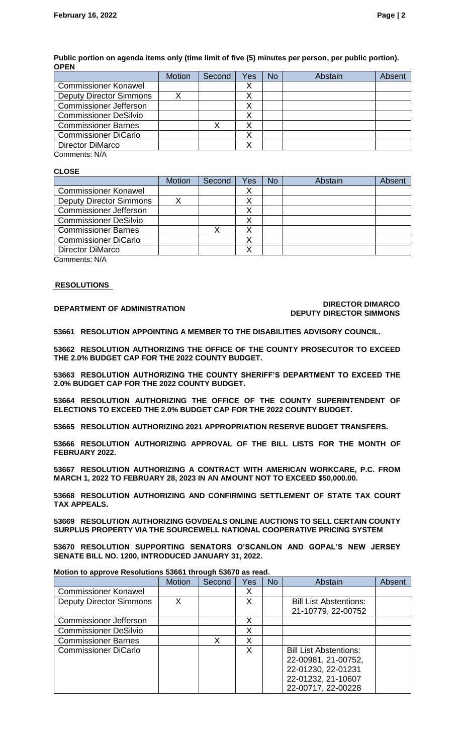|                                | <b>Motion</b> | Second | Yes | No | Abstain | <b>Absent</b> |
|--------------------------------|---------------|--------|-----|----|---------|---------------|
| <b>Commissioner Konawel</b>    |               |        |     |    |         |               |
| <b>Deputy Director Simmons</b> |               |        |     |    |         |               |
| <b>Commissioner Jefferson</b>  |               |        |     |    |         |               |
| <b>Commissioner DeSilvio</b>   |               |        |     |    |         |               |
| <b>Commissioner Barnes</b>     |               |        |     |    |         |               |
| <b>Commissioner DiCarlo</b>    |               |        |     |    |         |               |
| <b>Director DiMarco</b>        |               |        |     |    |         |               |
| Comments: N/A                  |               |        |     |    |         |               |

### **Public portion on agenda items only (time limit of five (5) minutes per person, per public portion). OPEN**

## **CLOSE**

|                                | <b>Motion</b> | Second | Yes | No | Abstain | Absent |
|--------------------------------|---------------|--------|-----|----|---------|--------|
| <b>Commissioner Konawel</b>    |               |        | ↗   |    |         |        |
| <b>Deputy Director Simmons</b> |               |        |     |    |         |        |
| <b>Commissioner Jefferson</b>  |               |        |     |    |         |        |
| <b>Commissioner DeSilvio</b>   |               |        |     |    |         |        |
| <b>Commissioner Barnes</b>     |               |        |     |    |         |        |
| <b>Commissioner DiCarlo</b>    |               |        |     |    |         |        |
| <b>Director DiMarco</b>        |               |        |     |    |         |        |

Comments: N/A

### **RESOLUTIONS**

#### **DEPARTMENT OF ADMINISTRATION DIRECTOR DIMARCO DEPUTY DIRECTOR SIMMONS**

**53661 RESOLUTION APPOINTING A MEMBER TO THE DISABILITIES ADVISORY COUNCIL.**

**53662 RESOLUTION AUTHORIZING THE OFFICE OF THE COUNTY PROSECUTOR TO EXCEED THE 2.0% BUDGET CAP FOR THE 2022 COUNTY BUDGET.** 

**53663 RESOLUTION AUTHORIZING THE COUNTY SHERIFF'S DEPARTMENT TO EXCEED THE 2.0% BUDGET CAP FOR THE 2022 COUNTY BUDGET.** 

**53664 RESOLUTION AUTHORIZING THE OFFICE OF THE COUNTY SUPERINTENDENT OF ELECTIONS TO EXCEED THE 2.0% BUDGET CAP FOR THE 2022 COUNTY BUDGET.** 

**53665 RESOLUTION AUTHORIZING 2021 APPROPRIATION RESERVE BUDGET TRANSFERS.**

**53666 RESOLUTION AUTHORIZING APPROVAL OF THE BILL LISTS FOR THE MONTH OF FEBRUARY 2022.**

**53667 RESOLUTION AUTHORIZING A CONTRACT WITH AMERICAN WORKCARE, P.C. FROM MARCH 1, 2022 TO FEBRUARY 28, 2023 IN AN AMOUNT NOT TO EXCEED \$50,000.00.**

**53668 RESOLUTION AUTHORIZING AND CONFIRMING SETTLEMENT OF STATE TAX COURT TAX APPEALS.**

**53669 RESOLUTION AUTHORIZING GOVDEALS ONLINE AUCTIONS TO SELL CERTAIN COUNTY SURPLUS PROPERTY VIA THE SOURCEWELL NATIONAL COOPERATIVE PRICING SYSTEM**

**53670 RESOLUTION SUPPORTING SENATORS O'SCANLON AND GOPAL'S NEW JERSEY SENATE BILL NO. 1200, INTRODUCED JANUARY 31, 2022.**

| Motion to approve Resolutions 53661 through 53670 as read. |               |        |     |           |                               |        |  |
|------------------------------------------------------------|---------------|--------|-----|-----------|-------------------------------|--------|--|
|                                                            | <b>Motion</b> | Second | Yes | <b>No</b> | Abstain                       | Absent |  |
| <b>Commissioner Konawel</b>                                |               |        | Х   |           |                               |        |  |
| <b>Deputy Director Simmons</b>                             | X             |        | Х   |           | <b>Bill List Abstentions:</b> |        |  |
|                                                            |               |        |     |           | 21-10779, 22-00752            |        |  |
| <b>Commissioner Jefferson</b>                              |               |        | Χ   |           |                               |        |  |
| <b>Commissioner DeSilvio</b>                               |               |        | Х   |           |                               |        |  |
| <b>Commissioner Barnes</b>                                 |               | Χ      | х   |           |                               |        |  |
| <b>Commissioner DiCarlo</b>                                |               |        | Χ   |           | <b>Bill List Abstentions:</b> |        |  |
|                                                            |               |        |     |           | 22-00981, 21-00752,           |        |  |
|                                                            |               |        |     |           | 22-01230, 22-01231            |        |  |
|                                                            |               |        |     |           | 22-01232, 21-10607            |        |  |
|                                                            |               |        |     |           | 22-00717, 22-00228            |        |  |

**Motion to approve Resolutions 53661 through 53670 as read.**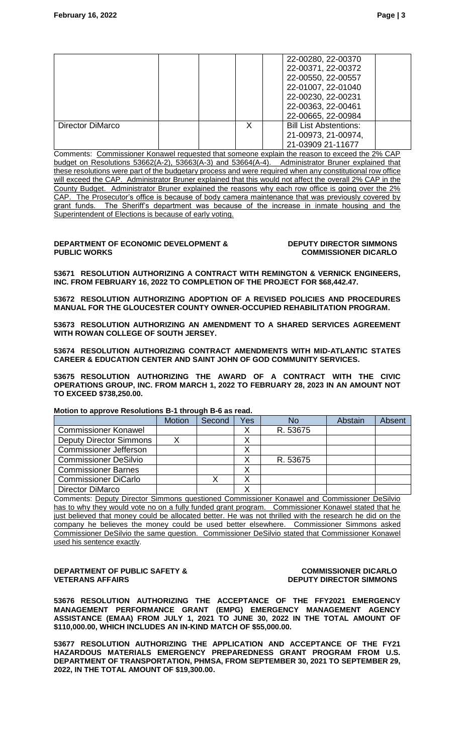|                  |  | 22-00280, 22-00370<br>22-00371, 22-00372<br>22-00550, 22-00557<br>22-01007, 22-01040<br>22-00230, 22-00231<br>22-00363, 22-00461<br>22-00665, 22-00984 |  |
|------------------|--|--------------------------------------------------------------------------------------------------------------------------------------------------------|--|
| Director DiMarco |  | <b>Bill List Abstentions:</b><br>21-00973, 21-00974,<br>21-03909 21-11677                                                                              |  |

Comments: Commissioner Konawel requested that someone explain the reason to exceed the 2% CAP budget on Resolutions 53662(A-2), 53663(A-3) and 53664(A-4). Administrator Bruner explained that these resolutions were part of the budgetary process and were required when any constitutional row office will exceed the CAP. Administrator Bruner explained that this would not affect the overall 2% CAP in the County Budget. Administrator Bruner explained the reasons why each row office is going over the 2% CAP. The Prosecutor's office is because of body camera maintenance that was previously covered by grant funds. The Sheriff's department was because of the increase in inmate housing and the Superintendent of Elections is because of early voting.

#### **DEPARTMENT OF ECONOMIC DEVELOPMENT & PUBLIC WORKS**

#### **DEPUTY DIRECTOR SIMMONS COMMISSIONER DICARLO**

**53671 RESOLUTION AUTHORIZING A CONTRACT WITH REMINGTON & VERNICK ENGINEERS, INC. FROM FEBRUARY 16, 2022 TO COMPLETION OF THE PROJECT FOR \$68,442.47.**

**53672 RESOLUTION AUTHORIZING ADOPTION OF A REVISED POLICIES AND PROCEDURES MANUAL FOR THE GLOUCESTER COUNTY OWNER-OCCUPIED REHABILITATION PROGRAM.**

**53673 RESOLUTION AUTHORIZING AN AMENDMENT TO A SHARED SERVICES AGREEMENT WITH ROWAN COLLEGE OF SOUTH JERSEY.**

**53674 RESOLUTION AUTHORIZING CONTRACT AMENDMENTS WITH MID-ATLANTIC STATES CAREER & EDUCATION CENTER AND SAINT JOHN OF GOD COMMUNITY SERVICES.**

**53675 RESOLUTION AUTHORIZING THE AWARD OF A CONTRACT WITH THE CIVIC OPERATIONS GROUP, INC. FROM MARCH 1, 2022 TO FEBRUARY 28, 2023 IN AN AMOUNT NOT TO EXCEED \$738,250.00.**

# **Motion to approve Resolutions B-1 through B-6 as read.**

|                                | <b>Motion</b> | Second | Yes | <b>No</b> | Abstain | Absent |
|--------------------------------|---------------|--------|-----|-----------|---------|--------|
| <b>Commissioner Konawel</b>    |               |        |     | R. 53675  |         |        |
| <b>Deputy Director Simmons</b> |               |        |     |           |         |        |
| <b>Commissioner Jefferson</b>  |               |        |     |           |         |        |
| <b>Commissioner DeSilvio</b>   |               |        |     | R. 53675  |         |        |
| <b>Commissioner Barnes</b>     |               |        |     |           |         |        |
| <b>Commissioner DiCarlo</b>    |               |        |     |           |         |        |
| <b>Director DiMarco</b>        |               |        |     |           |         |        |

Comments: Deputy Director Simmons questioned Commissioner Konawel and Commissioner DeSilvio has to why they would vote no on a fully funded grant program. Commissioner Konawel stated that he just believed that money could be allocated better. He was not thrilled with the research he did on the company he believes the money could be used better elsewhere. Commissioner Simmons asked Commissioner DeSilvio the same question. Commissioner DeSilvio stated that Commissioner Konawel used his sentence exactly.

#### **DEPARTMENT OF PUBLIC SAFETY & VETERANS AFFAIRS**

#### **COMMISSIONER DICARLO DEPUTY DIRECTOR SIMMONS**

**53676 RESOLUTION AUTHORIZING THE ACCEPTANCE OF THE FFY2021 EMERGENCY MANAGEMENT PERFORMANCE GRANT (EMPG) EMERGENCY MANAGEMENT AGENCY ASSISTANCE (EMAA) FROM JULY 1, 2021 TO JUNE 30, 2022 IN THE TOTAL AMOUNT OF \$110,000.00, WHICH INCLUDES AN IN-KIND MATCH OF \$55,000.00.**

**53677 RESOLUTION AUTHORIZING THE APPLICATION AND ACCEPTANCE OF THE FY21 HAZARDOUS MATERIALS EMERGENCY PREPAREDNESS GRANT PROGRAM FROM U.S. DEPARTMENT OF TRANSPORTATION, PHMSA, FROM SEPTEMBER 30, 2021 TO SEPTEMBER 29, 2022, IN THE TOTAL AMOUNT OF \$19,300.00.**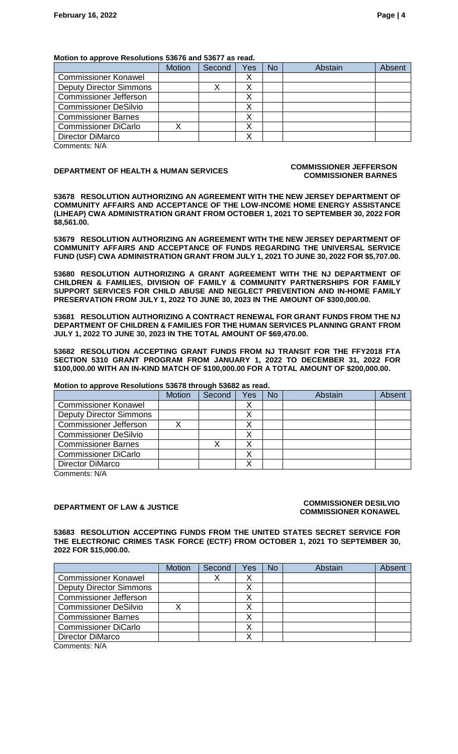#### **Motion to approve Resolutions 53676 and 53677 as read.**

|                                | <b>Motion</b> | Second | Yes | <b>No</b> | Abstain | Absent |
|--------------------------------|---------------|--------|-----|-----------|---------|--------|
| <b>Commissioner Konawel</b>    |               |        |     |           |         |        |
| <b>Deputy Director Simmons</b> |               |        |     |           |         |        |
| <b>Commissioner Jefferson</b>  |               |        |     |           |         |        |
| <b>Commissioner DeSilvio</b>   |               |        |     |           |         |        |
| <b>Commissioner Barnes</b>     |               |        |     |           |         |        |
| <b>Commissioner DiCarlo</b>    |               |        |     |           |         |        |
| <b>Director DiMarco</b>        |               |        |     |           |         |        |

Comments: N/A

#### **DEPARTMENT OF HEALTH & HUMAN SERVICES COMMISSIONER JEFFERSON COMMISSIONER BARNES**

**53678 RESOLUTION AUTHORIZING AN AGREEMENT WITH THE NEW JERSEY DEPARTMENT OF COMMUNITY AFFAIRS AND ACCEPTANCE OF THE LOW-INCOME HOME ENERGY ASSISTANCE (LIHEAP) CWA ADMINISTRATION GRANT FROM OCTOBER 1, 2021 TO SEPTEMBER 30, 2022 FOR \$8,561.00.**

**53679 RESOLUTION AUTHORIZING AN AGREEMENT WITH THE NEW JERSEY DEPARTMENT OF COMMUNITY AFFAIRS AND ACCEPTANCE OF FUNDS REGARDING THE UNIVERSAL SERVICE FUND (USF) CWA ADMINISTRATION GRANT FROM JULY 1, 2021 TO JUNE 30, 2022 FOR \$5,707.00.**

**53680 RESOLUTION AUTHORIZING A GRANT AGREEMENT WITH THE NJ DEPARTMENT OF CHILDREN & FAMILIES, DIVISION OF FAMILY & COMMUNITY PARTNERSHIPS FOR FAMILY SUPPORT SERVICES FOR CHILD ABUSE AND NEGLECT PREVENTION AND IN-HOME FAMILY PRESERVATION FROM JULY 1, 2022 TO JUNE 30, 2023 IN THE AMOUNT OF \$300,000.00.**

**53681 RESOLUTION AUTHORIZING A CONTRACT RENEWAL FOR GRANT FUNDS FROM THE NJ DEPARTMENT OF CHILDREN & FAMILIES FOR THE HUMAN SERVICES PLANNING GRANT FROM JULY 1, 2022 TO JUNE 30, 2023 IN THE TOTAL AMOUNT OF \$69,470.00.**

**53682 RESOLUTION ACCEPTING GRANT FUNDS FROM NJ TRANSIT FOR THE FFY2018 FTA SECTION 5310 GRANT PROGRAM FROM JANUARY 1, 2022 TO DECEMBER 31, 2022 FOR \$100,000.00 WITH AN IN-KIND MATCH OF \$100,000.00 FOR A TOTAL AMOUNT OF \$200,000.00.**

### **Motion to approve Resolutions 53678 through 53682 as read.**

|                                | <b>Motion</b> | Second | Yes | <b>No</b> | Abstain | Absent |
|--------------------------------|---------------|--------|-----|-----------|---------|--------|
| <b>Commissioner Konawel</b>    |               |        |     |           |         |        |
| <b>Deputy Director Simmons</b> |               |        |     |           |         |        |
| Commissioner Jefferson         |               |        |     |           |         |        |
| <b>Commissioner DeSilvio</b>   |               |        |     |           |         |        |
| Commissioner Barnes            |               |        |     |           |         |        |
| <b>Commissioner DiCarlo</b>    |               |        |     |           |         |        |
| Director DiMarco               |               |        |     |           |         |        |

Comments: N/A

#### **DEPARTMENT OF LAW & JUSTICE COMMISSIONER DESILVIO COMMISSIONER KONAWEL**

**53683 RESOLUTION ACCEPTING FUNDS FROM THE UNITED STATES SECRET SERVICE FOR THE ELECTRONIC CRIMES TASK FORCE (ECTF) FROM OCTOBER 1, 2021 TO SEPTEMBER 30, 2022 FOR \$15,000.00.**

|                                | <b>Motion</b> | Second | Yes | No | Abstain | Absent |
|--------------------------------|---------------|--------|-----|----|---------|--------|
| <b>Commissioner Konawel</b>    |               |        |     |    |         |        |
| <b>Deputy Director Simmons</b> |               |        |     |    |         |        |
| <b>Commissioner Jefferson</b>  |               |        |     |    |         |        |
| <b>Commissioner DeSilvio</b>   |               |        |     |    |         |        |
| <b>Commissioner Barnes</b>     |               |        |     |    |         |        |
| <b>Commissioner DiCarlo</b>    |               |        |     |    |         |        |
| Director DiMarco               |               |        |     |    |         |        |
| O <sub>6</sub>                 |               |        |     |    |         |        |

Comments: N/A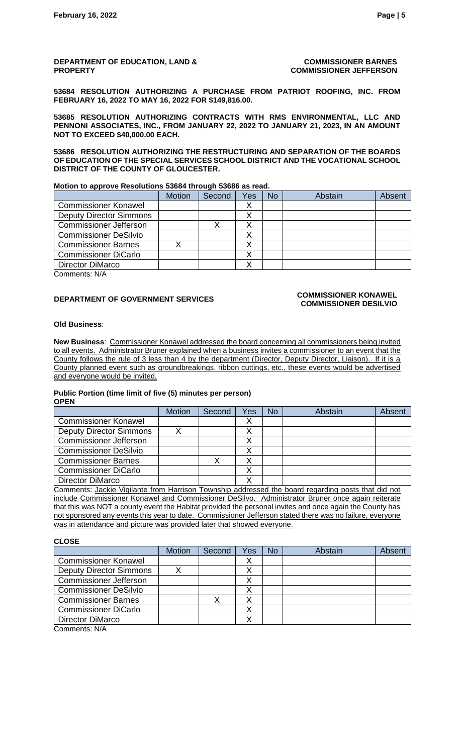**DEPARTMENT OF EDUCATION, LAND & PROPERTY**

**COMMISSIONER BARNES COMMISSIONER JEFFERSON**

**53684 RESOLUTION AUTHORIZING A PURCHASE FROM PATRIOT ROOFING, INC. FROM FEBRUARY 16, 2022 TO MAY 16, 2022 FOR \$149,816.00.**

**53685 RESOLUTION AUTHORIZING CONTRACTS WITH RMS ENVIRONMENTAL, LLC AND PENNONI ASSOCIATES, INC., FROM JANUARY 22, 2022 TO JANUARY 21, 2023, IN AN AMOUNT NOT TO EXCEED \$40,000.00 EACH.** 

**53686 RESOLUTION AUTHORIZING THE RESTRUCTURING AND SEPARATION OF THE BOARDS OF EDUCATION OF THE SPECIAL SERVICES SCHOOL DISTRICT AND THE VOCATIONAL SCHOOL DISTRICT OF THE COUNTY OF GLOUCESTER.**

**Motion to approve Resolutions 53684 through 53686 as read.**

|                                | <b>Motion</b> | Second | Yes | <b>No</b> | Abstain | Absent |
|--------------------------------|---------------|--------|-----|-----------|---------|--------|
| <b>Commissioner Konawel</b>    |               |        |     |           |         |        |
| <b>Deputy Director Simmons</b> |               |        |     |           |         |        |
| <b>Commissioner Jefferson</b>  |               |        |     |           |         |        |
| <b>Commissioner DeSilvio</b>   |               |        |     |           |         |        |
| <b>Commissioner Barnes</b>     |               |        |     |           |         |        |
| <b>Commissioner DiCarlo</b>    |               |        |     |           |         |        |
| <b>Director DiMarco</b>        |               |        |     |           |         |        |

Comments: N/A

# **DEPARTMENT OF GOVERNMENT SERVICES**<br> **COMMISSIONER** KONAWEL

# **COMMISSIONER DESILVIO**

#### **Old Business**:

**New Business**: Commissioner Konawel addressed the board concerning all commissioners being invited to all events. Administrator Bruner explained when a business invites a commissioner to an event that the County follows the rule of 3 less than 4 by the department (Director, Deputy Director, Liaison). If it is a County planned event such as groundbreakings, ribbon cuttings, etc., these events would be advertised and everyone would be invited.

#### **Public Portion (time limit of five (5) minutes per person) OPEN**

|                                | <b>Motion</b> | Second | Yes | No | Abstain | Absent |
|--------------------------------|---------------|--------|-----|----|---------|--------|
| <b>Commissioner Konawel</b>    |               |        |     |    |         |        |
| <b>Deputy Director Simmons</b> |               |        |     |    |         |        |
| <b>Commissioner Jefferson</b>  |               |        |     |    |         |        |
| Commissioner DeSilvio          |               |        |     |    |         |        |
| <b>Commissioner Barnes</b>     |               |        |     |    |         |        |
| <b>Commissioner DiCarlo</b>    |               |        |     |    |         |        |
| Director DiMarco               |               |        |     |    |         |        |

Comments: Jackie Vigilante from Harrison Township addressed the board regarding posts that did not include Commissioner Konawel and Commissioner DeSilvo. Administrator Bruner once again reiterate that this was NOT a county event the Habitat provided the personal invites and once again the County has not sponsored any events this year to date. Commissioner Jefferson stated there was no failure, everyone was in attendance and picture was provided later that showed everyone.

**CLOSE**

|                                | <b>Motion</b> | Second | Yes | No | Abstain | <b>Absent</b> |
|--------------------------------|---------------|--------|-----|----|---------|---------------|
| <b>Commissioner Konawel</b>    |               |        | ↗   |    |         |               |
| <b>Deputy Director Simmons</b> |               |        |     |    |         |               |
| <b>Commissioner Jefferson</b>  |               |        |     |    |         |               |
| <b>Commissioner DeSilvio</b>   |               |        |     |    |         |               |
| <b>Commissioner Barnes</b>     |               |        |     |    |         |               |
| <b>Commissioner DiCarlo</b>    |               |        |     |    |         |               |
| Director DiMarco               |               |        |     |    |         |               |
| $Ccommon 0 1 N N$              |               |        |     |    |         |               |

Comments: N/A